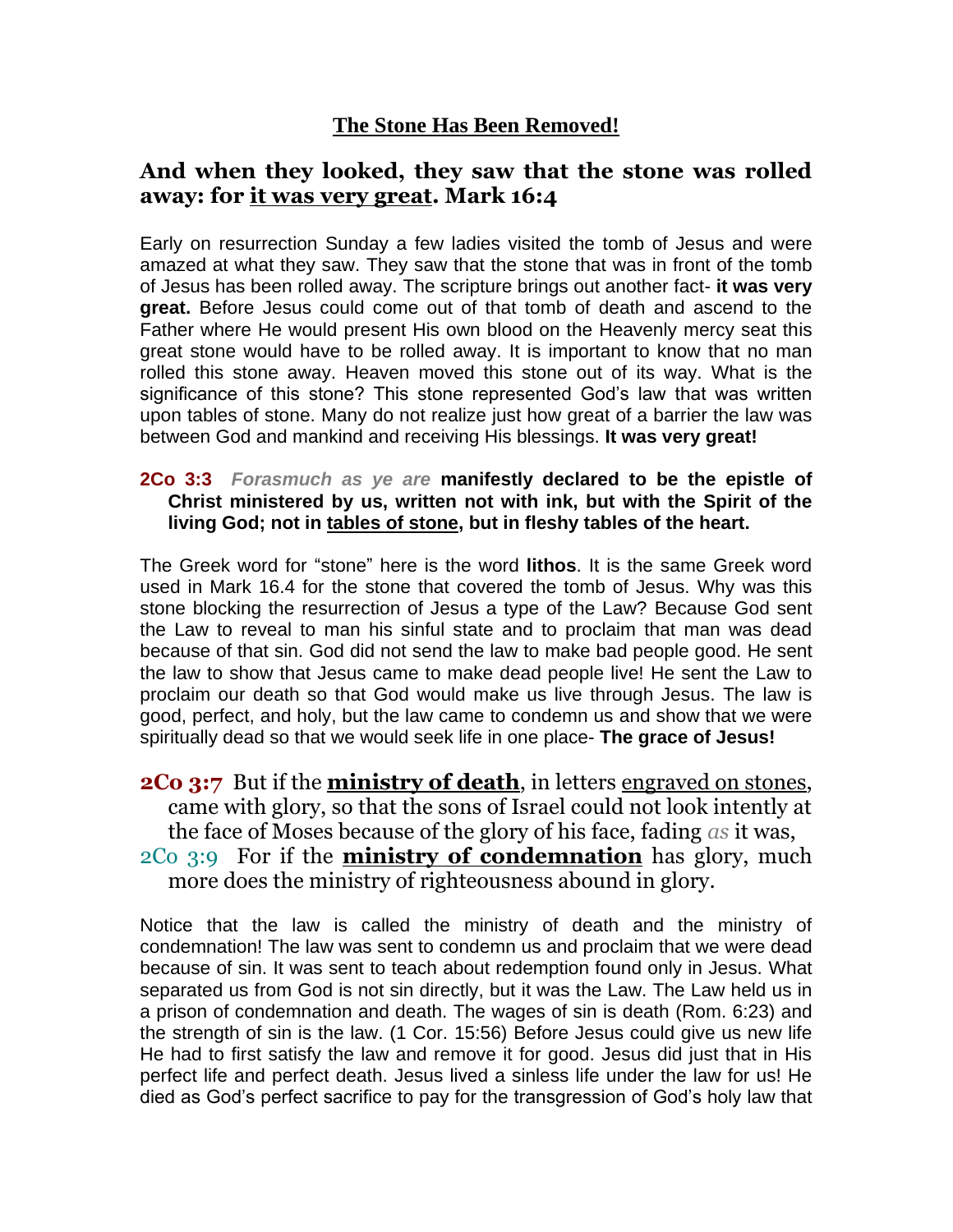### **The Stone Has Been Removed!**

## **And when they looked, they saw that the stone was rolled away: for it was very great. Mark 16:4**

Early on resurrection Sunday a few ladies visited the tomb of Jesus and were amazed at what they saw. They saw that the stone that was in front of the tomb of Jesus has been rolled away. The scripture brings out another fact- **it was very great.** Before Jesus could come out of that tomb of death and ascend to the Father where He would present His own blood on the Heavenly mercy seat this great stone would have to be rolled away. It is important to know that no man rolled this stone away. Heaven moved this stone out of its way. What is the significance of this stone? This stone represented God's law that was written upon tables of stone. Many do not realize just how great of a barrier the law was between God and mankind and receiving His blessings. **It was very great!** 

#### **2Co 3:3** *Forasmuch as ye are* **manifestly declared to be the epistle of Christ ministered by us, written not with ink, but with the Spirit of the living God; not in tables of stone, but in fleshy tables of the heart.**

The Greek word for "stone" here is the word **lithos**. It is the same Greek word used in Mark 16.4 for the stone that covered the tomb of Jesus. Why was this stone blocking the resurrection of Jesus a type of the Law? Because God sent the Law to reveal to man his sinful state and to proclaim that man was dead because of that sin. God did not send the law to make bad people good. He sent the law to show that Jesus came to make dead people live! He sent the Law to proclaim our death so that God would make us live through Jesus. The law is good, perfect, and holy, but the law came to condemn us and show that we were spiritually dead so that we would seek life in one place- **The grace of Jesus!** 

**2Co 3:7** But if the **ministry of death**, in letters engraved on stones, came with glory, so that the sons of Israel could not look intently at the face of Moses because of the glory of his face, fading *as* it was, 2Co 3:9 For if the **ministry of condemnation** has glory, much more does the ministry of righteousness abound in glory.

Notice that the law is called the ministry of death and the ministry of condemnation! The law was sent to condemn us and proclaim that we were dead because of sin. It was sent to teach about redemption found only in Jesus. What separated us from God is not sin directly, but it was the Law. The Law held us in a prison of condemnation and death. The wages of sin is death (Rom. 6:23) and the strength of sin is the law. (1 Cor. 15:56) Before Jesus could give us new life He had to first satisfy the law and remove it for good. Jesus did just that in His perfect life and perfect death. Jesus lived a sinless life under the law for us! He died as God's perfect sacrifice to pay for the transgression of God's holy law that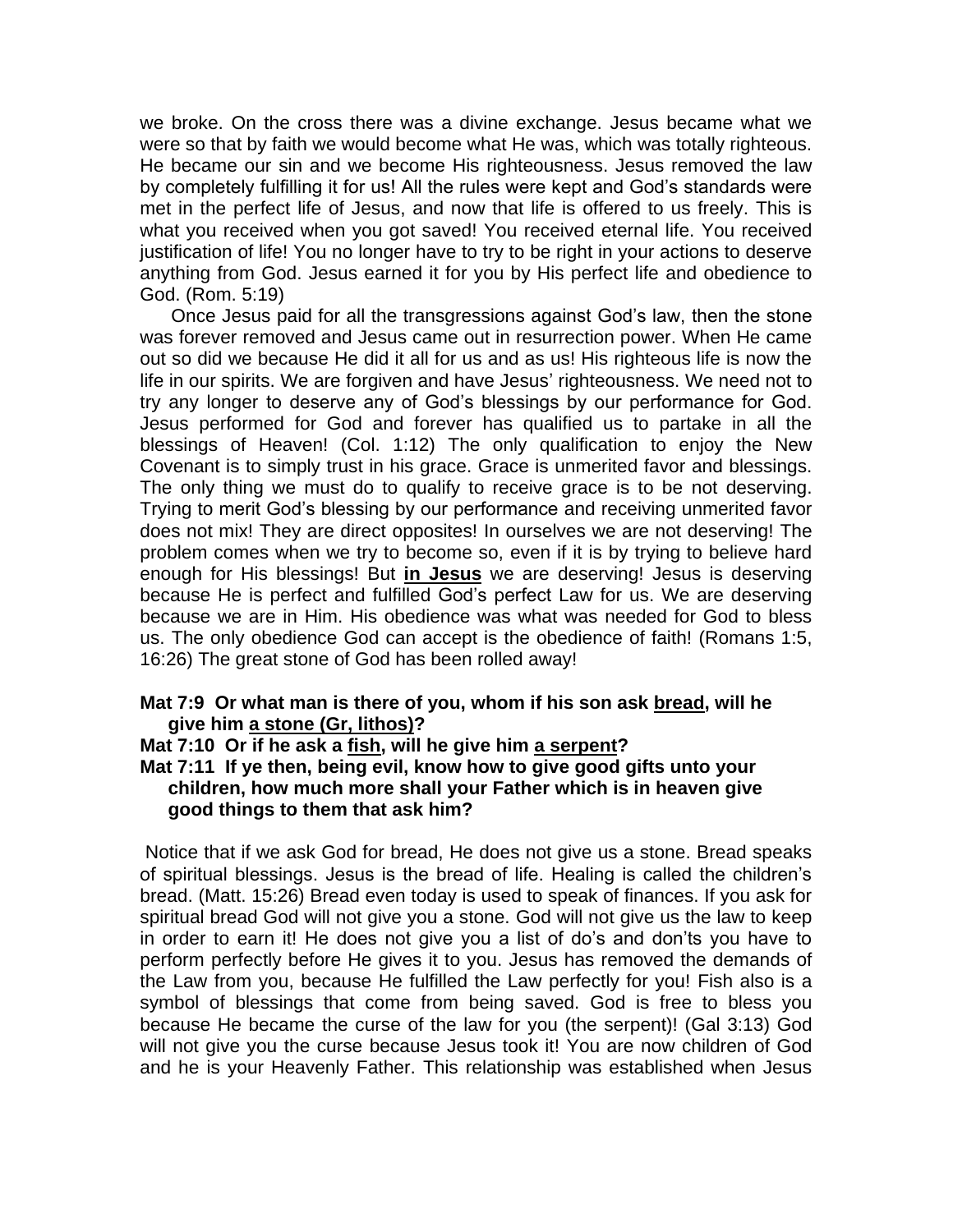we broke. On the cross there was a divine exchange. Jesus became what we were so that by faith we would become what He was, which was totally righteous. He became our sin and we become His righteousness. Jesus removed the law by completely fulfilling it for us! All the rules were kept and God's standards were met in the perfect life of Jesus, and now that life is offered to us freely. This is what you received when you got saved! You received eternal life. You received justification of life! You no longer have to try to be right in your actions to deserve anything from God. Jesus earned it for you by His perfect life and obedience to God. (Rom. 5:19)

 Once Jesus paid for all the transgressions against God's law, then the stone was forever removed and Jesus came out in resurrection power. When He came out so did we because He did it all for us and as us! His righteous life is now the life in our spirits. We are forgiven and have Jesus' righteousness. We need not to try any longer to deserve any of God's blessings by our performance for God. Jesus performed for God and forever has qualified us to partake in all the blessings of Heaven! (Col. 1:12) The only qualification to enjoy the New Covenant is to simply trust in his grace. Grace is unmerited favor and blessings. The only thing we must do to qualify to receive grace is to be not deserving. Trying to merit God's blessing by our performance and receiving unmerited favor does not mix! They are direct opposites! In ourselves we are not deserving! The problem comes when we try to become so, even if it is by trying to believe hard enough for His blessings! But **in Jesus** we are deserving! Jesus is deserving because He is perfect and fulfilled God's perfect Law for us. We are deserving because we are in Him. His obedience was what was needed for God to bless us. The only obedience God can accept is the obedience of faith! (Romans 1:5, 16:26) The great stone of God has been rolled away!

#### **Mat 7:9 Or what man is there of you, whom if his son ask bread, will he give him a stone (Gr, lithos)?**

**Mat 7:10 Or if he ask a fish, will he give him a serpent?** 

**Mat 7:11 If ye then, being evil, know how to give good gifts unto your children, how much more shall your Father which is in heaven give good things to them that ask him?** 

Notice that if we ask God for bread, He does not give us a stone. Bread speaks of spiritual blessings. Jesus is the bread of life. Healing is called the children's bread. (Matt. 15:26) Bread even today is used to speak of finances. If you ask for spiritual bread God will not give you a stone. God will not give us the law to keep in order to earn it! He does not give you a list of do's and don'ts you have to perform perfectly before He gives it to you. Jesus has removed the demands of the Law from you, because He fulfilled the Law perfectly for you! Fish also is a symbol of blessings that come from being saved. God is free to bless you because He became the curse of the law for you (the serpent)! (Gal 3:13) God will not give you the curse because Jesus took it! You are now children of God and he is your Heavenly Father. This relationship was established when Jesus